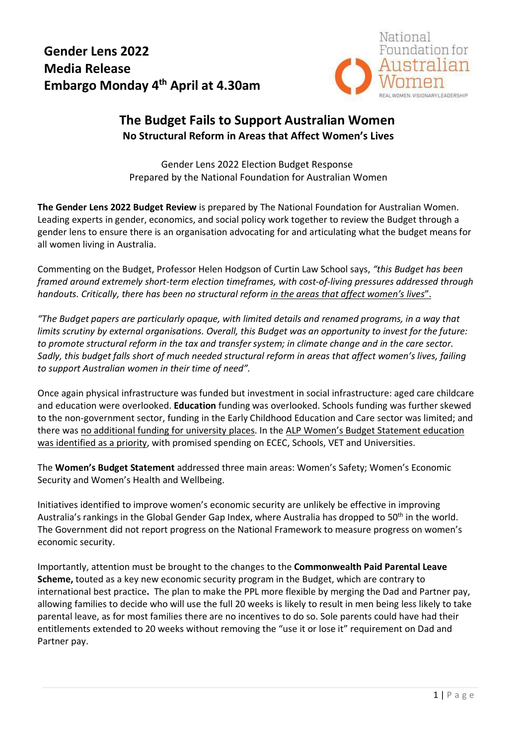## **Gender Lens 2022 Media Release Embargo Monday 4 th April at 4.30am**



## **The Budget Fails to Support Australian Women No Structural Reform in Areas that Affect Women's Lives**

Gender Lens 2022 Election Budget Response Prepared by the National Foundation for Australian Women

**The Gender Lens 2022 Budget Review** is prepared by The National Foundation for Australian Women. Leading experts in gender, economics, and social policy work together to review the Budget through a gender lens to ensure there is an organisation advocating for and articulating what the budget means for all women living in Australia.

Commenting on the Budget, Professor Helen Hodgson of Curtin Law School says, *"this Budget has been framed around extremely short-term election timeframes, with cost-of-living pressures addressed through handouts. Critically, there has been no structural reform in the areas that affect women's lives*".

*"The Budget papers are particularly opaque, with limited details and renamed programs, in a way that limits scrutiny by external organisations. Overall, this Budget was an opportunity to invest for the future: to promote structural reform in the tax and transfer system; in climate change and in the care sector. Sadly, this budget falls short of much needed structural reform in areas that affect women's lives, failing to support Australian women in their time of need".*

Once again physical infrastructure was funded but investment in social infrastructure: aged care childcare and education were overlooked. **Education** funding was overlooked. Schools funding was further skewed to the non-government sector, funding in the Early Childhood Education and Care sector was limited; and there was no additional funding for university places. In the ALP Women's Budget Statement education was identified as a priority, with promised spending on ECEC, Schools, VET and Universities.

The **Women's Budget Statement** addressed three main areas: Women's Safety; Women's Economic Security and Women's Health and Wellbeing.

Initiatives identified to improve women's economic security are unlikely be effective in improving Australia's rankings in the Global Gender Gap Index, where Australia has dropped to 50th in the world. The Government did not report progress on the National Framework to measure progress on women's economic security.

Importantly, attention must be brought to the changes to the **Commonwealth Paid Parental Leave Scheme,** touted as a key new economic security program in the Budget, which are contrary to international best practice**.** The plan to make the PPL more flexible by merging the Dad and Partner pay, allowing families to decide who will use the full 20 weeks is likely to result in men being less likely to take parental leave, as for most families there are no incentives to do so. Sole parents could have had their entitlements extended to 20 weeks without removing the "use it or lose it" requirement on Dad and Partner pay.